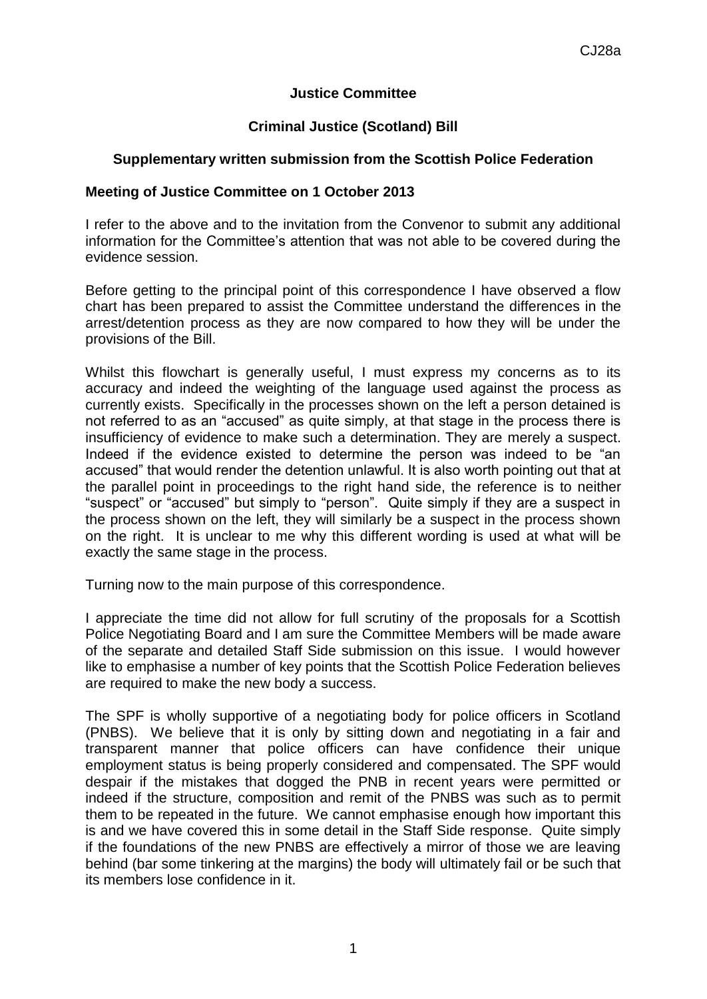## **Justice Committee**

## **Criminal Justice (Scotland) Bill**

## **Supplementary written submission from the Scottish Police Federation**

## **Meeting of Justice Committee on 1 October 2013**

I refer to the above and to the invitation from the Convenor to submit any additional information for the Committee's attention that was not able to be covered during the evidence session.

Before getting to the principal point of this correspondence I have observed a flow chart has been prepared to assist the Committee understand the differences in the arrest/detention process as they are now compared to how they will be under the provisions of the Bill.

Whilst this flowchart is generally useful, I must express my concerns as to its accuracy and indeed the weighting of the language used against the process as currently exists. Specifically in the processes shown on the left a person detained is not referred to as an "accused" as quite simply, at that stage in the process there is insufficiency of evidence to make such a determination. They are merely a suspect. Indeed if the evidence existed to determine the person was indeed to be "an accused" that would render the detention unlawful. It is also worth pointing out that at the parallel point in proceedings to the right hand side, the reference is to neither "suspect" or "accused" but simply to "person". Quite simply if they are a suspect in the process shown on the left, they will similarly be a suspect in the process shown on the right. It is unclear to me why this different wording is used at what will be exactly the same stage in the process.

Turning now to the main purpose of this correspondence.

I appreciate the time did not allow for full scrutiny of the proposals for a Scottish Police Negotiating Board and I am sure the Committee Members will be made aware of the separate and detailed Staff Side submission on this issue. I would however like to emphasise a number of key points that the Scottish Police Federation believes are required to make the new body a success.

The SPF is wholly supportive of a negotiating body for police officers in Scotland (PNBS). We believe that it is only by sitting down and negotiating in a fair and transparent manner that police officers can have confidence their unique employment status is being properly considered and compensated. The SPF would despair if the mistakes that dogged the PNB in recent years were permitted or indeed if the structure, composition and remit of the PNBS was such as to permit them to be repeated in the future. We cannot emphasise enough how important this is and we have covered this in some detail in the Staff Side response. Quite simply if the foundations of the new PNBS are effectively a mirror of those we are leaving behind (bar some tinkering at the margins) the body will ultimately fail or be such that its members lose confidence in it.